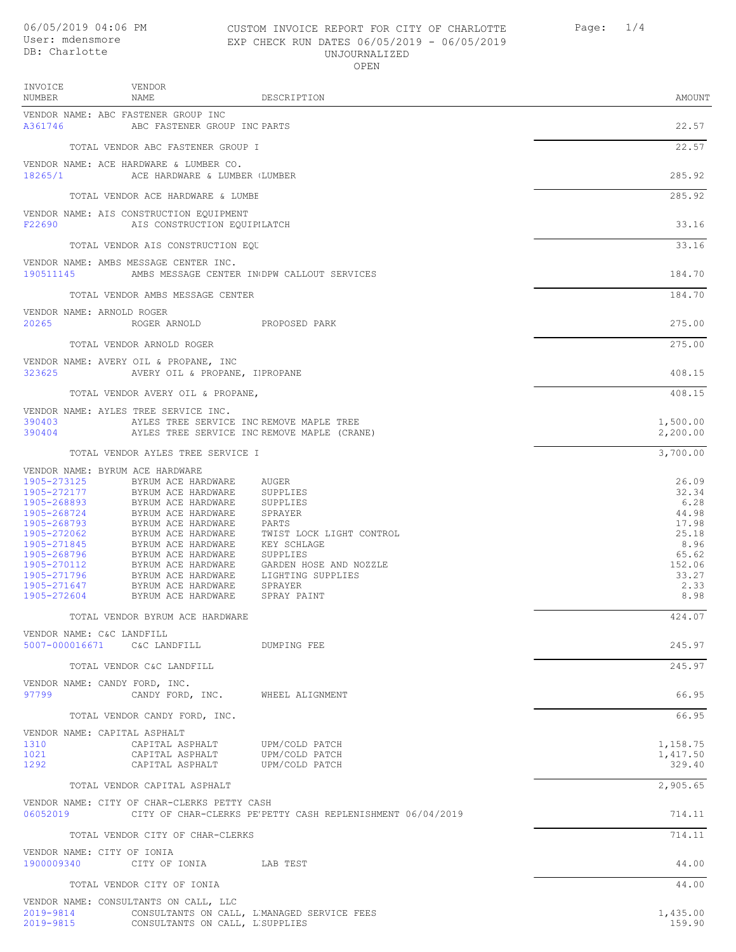## 06/05/2019 04:06 PM CUSTOM INVOICE REPORT FOR CITY OF CHARLOTTE Page: 1/4 User: mdensmore EXP CHECK RUN DATES 06/05/2019 - 06/05/2019 UNJOURNALIZED OPEN

| INVOICE<br>NUMBER                                                                                                                                                                | VENDOR<br><b>NAME</b>                                                                                                                                                                                                                                                | DESCRIPTION                                                                                                                                                                       | AMOUNT                                                                                                |
|----------------------------------------------------------------------------------------------------------------------------------------------------------------------------------|----------------------------------------------------------------------------------------------------------------------------------------------------------------------------------------------------------------------------------------------------------------------|-----------------------------------------------------------------------------------------------------------------------------------------------------------------------------------|-------------------------------------------------------------------------------------------------------|
| A361746                                                                                                                                                                          | VENDOR NAME: ABC FASTENER GROUP INC<br>ABC FASTENER GROUP INC PARTS                                                                                                                                                                                                  |                                                                                                                                                                                   | 22.57                                                                                                 |
|                                                                                                                                                                                  | TOTAL VENDOR ABC FASTENER GROUP I                                                                                                                                                                                                                                    |                                                                                                                                                                                   | 22.57                                                                                                 |
| 18265/1                                                                                                                                                                          | VENDOR NAME: ACE HARDWARE & LUMBER CO.<br>ACE HARDWARE & LUMBER (LUMBER                                                                                                                                                                                              |                                                                                                                                                                                   | 285.92                                                                                                |
|                                                                                                                                                                                  | TOTAL VENDOR ACE HARDWARE & LUMBE                                                                                                                                                                                                                                    |                                                                                                                                                                                   | 285.92                                                                                                |
| F22690                                                                                                                                                                           | VENDOR NAME: AIS CONSTRUCTION EQUIPMENT<br>AIS CONSTRUCTION EQUIPILATCH                                                                                                                                                                                              |                                                                                                                                                                                   | 33.16                                                                                                 |
|                                                                                                                                                                                  | TOTAL VENDOR AIS CONSTRUCTION EQU                                                                                                                                                                                                                                    |                                                                                                                                                                                   | 33.16                                                                                                 |
| 190511145                                                                                                                                                                        | VENDOR NAME: AMBS MESSAGE CENTER INC.                                                                                                                                                                                                                                | AMBS MESSAGE CENTER IN DPW CALLOUT SERVICES                                                                                                                                       | 184.70                                                                                                |
|                                                                                                                                                                                  | TOTAL VENDOR AMBS MESSAGE CENTER                                                                                                                                                                                                                                     |                                                                                                                                                                                   | 184.70                                                                                                |
| VENDOR NAME: ARNOLD ROGER<br>20265                                                                                                                                               | ROGER ARNOLD PROPOSED PARK                                                                                                                                                                                                                                           |                                                                                                                                                                                   | 275.00                                                                                                |
|                                                                                                                                                                                  | TOTAL VENDOR ARNOLD ROGER                                                                                                                                                                                                                                            |                                                                                                                                                                                   | 275.00                                                                                                |
| 323625                                                                                                                                                                           | VENDOR NAME: AVERY OIL & PROPANE, INC<br>AVERY OIL & PROPANE, IPROPANE                                                                                                                                                                                               |                                                                                                                                                                                   | 408.15                                                                                                |
|                                                                                                                                                                                  | TOTAL VENDOR AVERY OIL & PROPANE,                                                                                                                                                                                                                                    |                                                                                                                                                                                   | 408.15                                                                                                |
| 390403                                                                                                                                                                           | VENDOR NAME: AYLES TREE SERVICE INC.<br>AYLES TREE SERVICE INC REMOVE MAPLE TREE                                                                                                                                                                                     |                                                                                                                                                                                   | 1,500.00                                                                                              |
| 390404                                                                                                                                                                           |                                                                                                                                                                                                                                                                      | AYLES TREE SERVICE INC REMOVE MAPLE (CRANE)                                                                                                                                       | 2,200.00                                                                                              |
| VENDOR NAME: BYRUM ACE HARDWARE                                                                                                                                                  | TOTAL VENDOR AYLES TREE SERVICE I                                                                                                                                                                                                                                    |                                                                                                                                                                                   | 3,700.00                                                                                              |
| 1905-273125<br>1905-272177<br>1905-268893<br>1905-268724<br>1905-268793<br>1905-272062<br>1905-271845<br>1905-268796<br>1905-270112<br>1905-271796<br>1905-271647<br>1905-272604 | BYRUM ACE HARDWARE<br>BYRUM ACE HARDWARE<br>BYRUM ACE HARDWARE<br>BYRUM ACE HARDWARE<br>BYRUM ACE HARDWARE<br>BYRUM ACE HARDWARE<br>BYRUM ACE HARDWARE<br>BYRUM ACE HARDWARE<br>BYRUM ACE HARDWARE<br>BYRUM ACE HARDWARE<br>BYRUM ACE HARDWARE<br>BYRUM ACE HARDWARE | AUGER<br>SUPPLIES<br>SUPPLIES<br>SPRAYER<br>PARTS<br>TWIST LOCK LIGHT CONTROL<br>KEY SCHLAGE<br>SUPPLIES<br>GARDEN HOSE AND NOZZLE<br>LIGHTING SUPPLIES<br>SPRAYER<br>SPRAY PAINT | 26.09<br>32.34<br>6.28<br>44.98<br>17.98<br>25.18<br>8.96<br>65.62<br>152.06<br>33.27<br>2.33<br>8.98 |
|                                                                                                                                                                                  | TOTAL VENDOR BYRUM ACE HARDWARE                                                                                                                                                                                                                                      |                                                                                                                                                                                   | 424.07                                                                                                |
| VENDOR NAME: C&C LANDFILL                                                                                                                                                        | 5007-000016671 C&C LANDFILL                                                                                                                                                                                                                                          | DUMPING FEE                                                                                                                                                                       | 245.97                                                                                                |
|                                                                                                                                                                                  | TOTAL VENDOR C&C LANDFILL                                                                                                                                                                                                                                            |                                                                                                                                                                                   | 245.97                                                                                                |
| VENDOR NAME: CANDY FORD, INC.<br>97799                                                                                                                                           | CANDY FORD, INC. WHEEL ALIGNMENT                                                                                                                                                                                                                                     |                                                                                                                                                                                   | 66.95                                                                                                 |
|                                                                                                                                                                                  | TOTAL VENDOR CANDY FORD, INC.                                                                                                                                                                                                                                        |                                                                                                                                                                                   | 66.95                                                                                                 |
| VENDOR NAME: CAPITAL ASPHALT<br>1310<br>1021<br>1292                                                                                                                             | CAPITAL ASPHALT<br>CAPITAL ASPHALT<br>CAPITAL ASPHALT                                                                                                                                                                                                                | UPM/COLD PATCH<br>UPM/COLD PATCH<br>UPM/COLD PATCH                                                                                                                                | 1,158.75<br>1,417.50<br>329.40                                                                        |
|                                                                                                                                                                                  | TOTAL VENDOR CAPITAL ASPHALT                                                                                                                                                                                                                                         |                                                                                                                                                                                   | 2,905.65                                                                                              |
|                                                                                                                                                                                  | VENDOR NAME: CITY OF CHAR-CLERKS PETTY CASH                                                                                                                                                                                                                          | 06052019 CITY OF CHAR-CLERKS PE'PETTY CASH REPLENISHMENT 06/04/2019                                                                                                               | 714.11                                                                                                |
|                                                                                                                                                                                  | TOTAL VENDOR CITY OF CHAR-CLERKS                                                                                                                                                                                                                                     |                                                                                                                                                                                   | 714.11                                                                                                |
| VENDOR NAME: CITY OF IONIA<br>1900009340                                                                                                                                         | CITY OF IONIA LAB TEST                                                                                                                                                                                                                                               |                                                                                                                                                                                   | 44.00                                                                                                 |
|                                                                                                                                                                                  | TOTAL VENDOR CITY OF IONIA                                                                                                                                                                                                                                           |                                                                                                                                                                                   | 44.00                                                                                                 |
| 2019-9814<br>2019-9815                                                                                                                                                           | VENDOR NAME: CONSULTANTS ON CALL, LLC<br>CONSULTANTS ON CALL, L'SUPPLIES                                                                                                                                                                                             | CONSULTANTS ON CALL, L'MANAGED SERVICE FEES                                                                                                                                       | 1,435.00<br>159.90                                                                                    |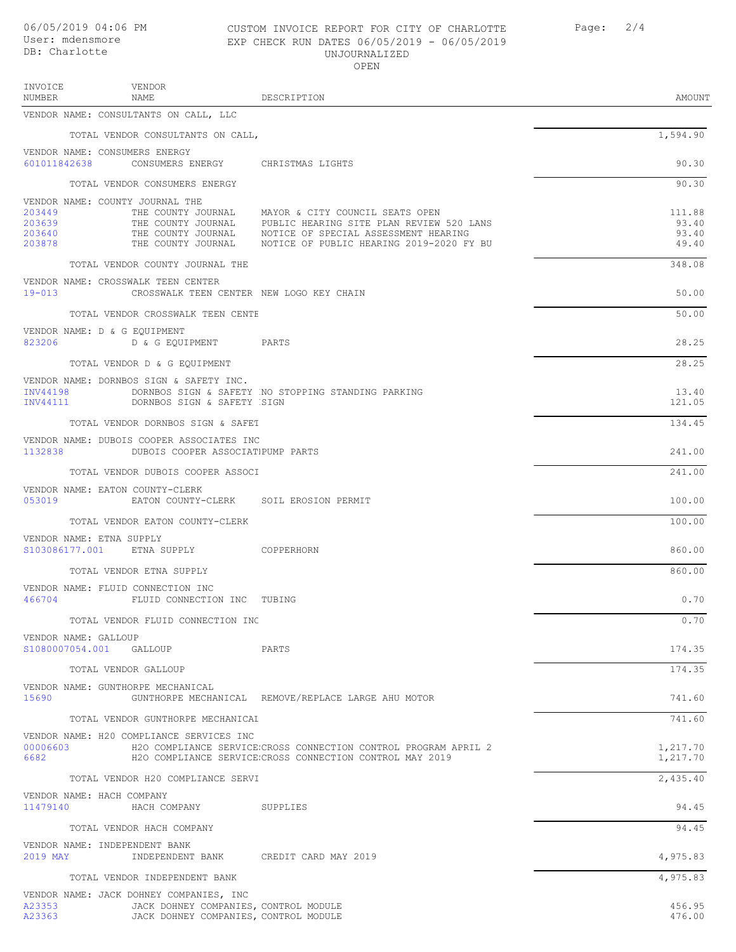## 06/05/2019 04:06 PM CUSTOM INVOICE REPORT FOR CITY OF CHARLOTTE Page: 2/4 EXP CHECK RUN DATES 06/05/2019 - 06/05/2019 UNJOURNALIZED OPEN

| INVOICE<br>NUMBER                    | VENDOR<br>NAME                                                                   | DESCRIPTION                                                                                                                                                                                                              | AMOUNT                            |
|--------------------------------------|----------------------------------------------------------------------------------|--------------------------------------------------------------------------------------------------------------------------------------------------------------------------------------------------------------------------|-----------------------------------|
|                                      | VENDOR NAME: CONSULTANTS ON CALL, LLC                                            |                                                                                                                                                                                                                          |                                   |
|                                      | TOTAL VENDOR CONSULTANTS ON CALL,                                                |                                                                                                                                                                                                                          | 1,594.90                          |
|                                      | VENDOR NAME: CONSUMERS ENERGY<br>601011842638 CONSUMERS ENERGY CHRISTMAS LIGHTS  |                                                                                                                                                                                                                          | 90.30                             |
|                                      | TOTAL VENDOR CONSUMERS ENERGY                                                    |                                                                                                                                                                                                                          | 90.30                             |
| 203449<br>203639<br>203640<br>203878 | VENDOR NAME: COUNTY JOURNAL THE<br>THE COUNTY JOURNAL                            | THE COUNTY JOURNAL MAYOR & CITY COUNCIL SEATS OPEN<br>PUBLIC HEARING SITE PLAN REVIEW 520 LANS<br>THE COUNTY JOURNAL MOTICE OF SPECIAL ASSESSMENT HEARING<br>THE COUNTY JOURNAL MOTICE OF PUBLIC HEARING 2019-2020 FY BU | 111.88<br>93.40<br>93.40<br>49.40 |
|                                      | TOTAL VENDOR COUNTY JOURNAL THE                                                  |                                                                                                                                                                                                                          | 348.08                            |
| $19 - 013$                           | VENDOR NAME: CROSSWALK TEEN CENTER<br>CROSSWALK TEEN CENTER NEW LOGO KEY CHAIN   |                                                                                                                                                                                                                          | 50.00                             |
|                                      | TOTAL VENDOR CROSSWALK TEEN CENTE                                                |                                                                                                                                                                                                                          | 50.00                             |
|                                      | VENDOR NAME: D & G EQUIPMENT<br>823206 D & G EQUIPMENT PARTS                     |                                                                                                                                                                                                                          | 28.25                             |
|                                      | TOTAL VENDOR D & G EQUIPMENT                                                     |                                                                                                                                                                                                                          | 28.25                             |
| INV44198<br>INV44111                 | VENDOR NAME: DORNBOS SIGN & SAFETY INC.<br>DORNBOS SIGN & SAFETY SIGN            | DORNBOS SIGN & SAFETY NO STOPPING STANDING PARKING                                                                                                                                                                       | 13.40<br>121.05                   |
|                                      | TOTAL VENDOR DORNBOS SIGN & SAFET                                                |                                                                                                                                                                                                                          | 134.45                            |
| 1132838                              | VENDOR NAME: DUBOIS COOPER ASSOCIATES INC<br>DUBOIS COOPER ASSOCIATIPUMP PARTS   |                                                                                                                                                                                                                          | 241.00                            |
|                                      | TOTAL VENDOR DUBOIS COOPER ASSOCI                                                |                                                                                                                                                                                                                          | 241.00                            |
| 053019                               | VENDOR NAME: EATON COUNTY-CLERK<br>EATON COUNTY-CLERK SOIL EROSION PERMIT        |                                                                                                                                                                                                                          | 100.00                            |
|                                      | TOTAL VENDOR EATON COUNTY-CLERK                                                  |                                                                                                                                                                                                                          | 100.00                            |
|                                      | VENDOR NAME: ETNA SUPPLY<br>S103086177.001 ETNA SUPPLY COPPERHORN                |                                                                                                                                                                                                                          | 860.00                            |
|                                      | TOTAL VENDOR ETNA SUPPLY                                                         |                                                                                                                                                                                                                          | 860.00                            |
| 466704                               | VENDOR NAME: FLUID CONNECTION INC<br>FLUID CONNECTION INC TUBING                 |                                                                                                                                                                                                                          | 0.70                              |
|                                      | TOTAL VENDOR FLUID CONNECTION INC                                                |                                                                                                                                                                                                                          | 0.70                              |
| VENDOR NAME: GALLOUP                 | S1080007054.001 GALLOUP                                                          | PARTS                                                                                                                                                                                                                    | 174.35                            |
|                                      | TOTAL VENDOR GALLOUP                                                             |                                                                                                                                                                                                                          | 174.35                            |
| 15690                                | VENDOR NAME: GUNTHORPE MECHANICAL                                                | GUNTHORPE MECHANICAL REMOVE/REPLACE LARGE AHU MOTOR                                                                                                                                                                      | 741.60                            |
|                                      | TOTAL VENDOR GUNTHORPE MECHANICAL                                                |                                                                                                                                                                                                                          | 741.60                            |
| 00006603<br>6682                     | VENDOR NAME: H20 COMPLIANCE SERVICES INC                                         | H2O COMPLIANCE SERVICE.CROSS CONNECTION CONTROL PROGRAM APRIL 2<br>H2O COMPLIANCE SERVICE CROSS CONNECTION CONTROL MAY 2019                                                                                              | 1,217.70<br>1,217.70              |
|                                      | TOTAL VENDOR H20 COMPLIANCE SERVI                                                |                                                                                                                                                                                                                          | 2,435.40                          |
|                                      | VENDOR NAME: HACH COMPANY                                                        |                                                                                                                                                                                                                          |                                   |
| 11479140                             | HACH COMPANY SUPPLIES                                                            |                                                                                                                                                                                                                          | 94.45                             |
|                                      | TOTAL VENDOR HACH COMPANY<br>VENDOR NAME: INDEPENDENT BANK                       |                                                                                                                                                                                                                          | 94.45                             |
| 2019 MAY                             | INDEPENDENT BANK CREDIT CARD MAY 2019                                            |                                                                                                                                                                                                                          | 4,975.83                          |
|                                      | TOTAL VENDOR INDEPENDENT BANK                                                    |                                                                                                                                                                                                                          | 4,975.83                          |
| A23353                               | VENDOR NAME: JACK DOHNEY COMPANIES, INC<br>JACK DOHNEY COMPANIES, CONTROL MODULE |                                                                                                                                                                                                                          | 456.95                            |

A23363 JACK DOHNEY COMPANIES, INC CONTROL MODULE 476.00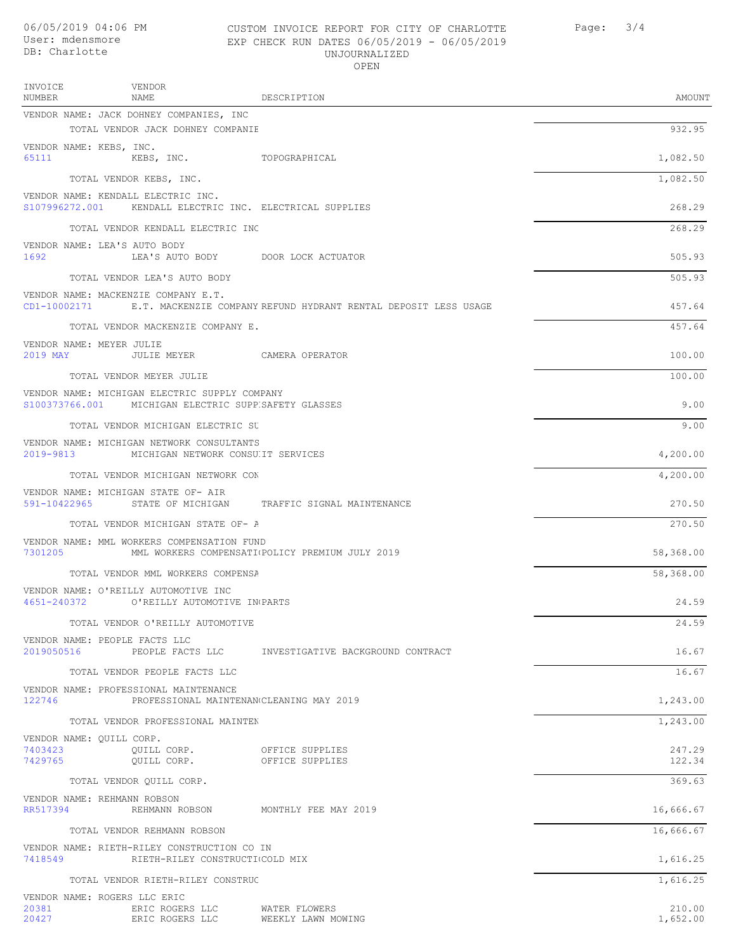INVOICE

VENDOR

## 06/05/2019 04:06 PM CUSTOM INVOICE REPORT FOR CITY OF CHARLOTTE Page: 3/4 User: mdensmore EXP CHECK RUN DATES 06/05/2019 - 06/05/2019 UNJOURNALIZED OPEN

| NUMBER                                      | NAME                                                                                                  | DESCRIPTION                                                                  | AMOUNT           |
|---------------------------------------------|-------------------------------------------------------------------------------------------------------|------------------------------------------------------------------------------|------------------|
|                                             | VENDOR NAME: JACK DOHNEY COMPANIES, INC                                                               |                                                                              |                  |
|                                             | TOTAL VENDOR JACK DOHNEY COMPANIE                                                                     |                                                                              | 932.95           |
| VENDOR NAME: KEBS, INC.<br>65111            | KEBS, INC. TOPOGRAPHICAL                                                                              |                                                                              | 1,082.50         |
|                                             | TOTAL VENDOR KEBS, INC.                                                                               |                                                                              | 1,082.50         |
|                                             | VENDOR NAME: KENDALL ELECTRIC INC.<br>S107996272.001 KENDALL ELECTRIC INC. ELECTRICAL SUPPLIES        |                                                                              | 268.29           |
|                                             | TOTAL VENDOR KENDALL ELECTRIC INC                                                                     |                                                                              | 268.29           |
| VENDOR NAME: LEA'S AUTO BODY<br>1692        | LEA'S AUTO BODY DOOR LOCK ACTUATOR                                                                    |                                                                              | 505.93           |
|                                             | TOTAL VENDOR LEA'S AUTO BODY                                                                          |                                                                              | 505.93           |
|                                             | VENDOR NAME: MACKENZIE COMPANY E.T.                                                                   | CD1-10002171 E.T. MACKENZIE COMPANY REFUND HYDRANT RENTAL DEPOSIT LESS USAGE | 457.64           |
|                                             | TOTAL VENDOR MACKENZIE COMPANY E.                                                                     |                                                                              | 457.64           |
| VENDOR NAME: MEYER JULIE                    |                                                                                                       |                                                                              | 100.00           |
|                                             | TOTAL VENDOR MEYER JULIE                                                                              |                                                                              | 100.00           |
|                                             | VENDOR NAME: MICHIGAN ELECTRIC SUPPLY COMPANY<br>S100373766.001 MICHIGAN ELECTRIC SUPP SAFETY GLASSES |                                                                              | 9.00             |
|                                             | TOTAL VENDOR MICHIGAN ELECTRIC SU                                                                     |                                                                              | 9.00             |
|                                             | VENDOR NAME: MICHIGAN NETWORK CONSULTANTS<br>2019-9813 MICHIGAN NETWORK CONSULIT SERVICES             |                                                                              | 4,200.00         |
|                                             | TOTAL VENDOR MICHIGAN NETWORK CON                                                                     |                                                                              | 4,200.00         |
|                                             | VENDOR NAME: MICHIGAN STATE OF- AIR                                                                   | 591-10422965 STATE OF MICHIGAN TRAFFIC SIGNAL MAINTENANCE                    | 270.50           |
|                                             | TOTAL VENDOR MICHIGAN STATE OF- A                                                                     |                                                                              | 270.50           |
| 7301205                                     | VENDOR NAME: MML WORKERS COMPENSATION FUND                                                            | MML WORKERS COMPENSATI POLICY PREMIUM JULY 2019                              | 58,368.00        |
|                                             | TOTAL VENDOR MML WORKERS COMPENSA                                                                     |                                                                              | 58,368.00        |
| 4651-240372                                 | VENDOR NAME: O'REILLY AUTOMOTIVE INC<br>O'REILLY AUTOMOTIVE IN PARTS                                  |                                                                              | 24.59            |
|                                             | TOTAL VENDOR O'REILLY AUTOMOTIVE                                                                      |                                                                              | 24.59            |
| VENDOR NAME: PEOPLE FACTS LLC<br>2019050516 |                                                                                                       | PEOPLE FACTS LLC INVESTIGATIVE BACKGROUND CONTRACT                           | 16.67            |
|                                             | TOTAL VENDOR PEOPLE FACTS LLC                                                                         |                                                                              | 16.67            |
| 122746                                      | VENDOR NAME: PROFESSIONAL MAINTENANCE<br>PROFESSIONAL MAINTENAN CLEANING MAY 2019                     |                                                                              | 1,243.00         |
|                                             | TOTAL VENDOR PROFESSIONAL MAINTEN                                                                     |                                                                              | 1,243.00         |
| VENDOR NAME: QUILL CORP.                    |                                                                                                       |                                                                              |                  |
| 7403423<br>7429765                          | QUILL CORP.<br>QUILL CORP.                                                                            | OFFICE SUPPLIES<br>OFFICE SUPPLIES                                           | 247.29<br>122.34 |
|                                             | TOTAL VENDOR OUILL CORP.                                                                              |                                                                              | 369.63           |
| VENDOR NAME: REHMANN ROBSON<br>RR517394     | REHMANN ROBSON MONTHLY FEE MAY 2019                                                                   |                                                                              | 16,666.67        |
|                                             | TOTAL VENDOR REHMANN ROBSON                                                                           |                                                                              | 16,666.67        |
| 7418549                                     | VENDOR NAME: RIETH-RILEY CONSTRUCTION CO IN<br>RIETH-RILEY CONSTRUCTI(COLD MIX                        |                                                                              | 1,616.25         |
|                                             | TOTAL VENDOR RIETH-RILEY CONSTRUC                                                                     |                                                                              | 1,616.25         |
| VENDOR NAME: ROGERS LLC ERIC<br>20381       | ERIC ROGERS LLC WATER FLOWERS                                                                         |                                                                              | 210.00           |

20427 ERIC ROGERS LLC WEEKLY LAWN MOWING 1,652.00